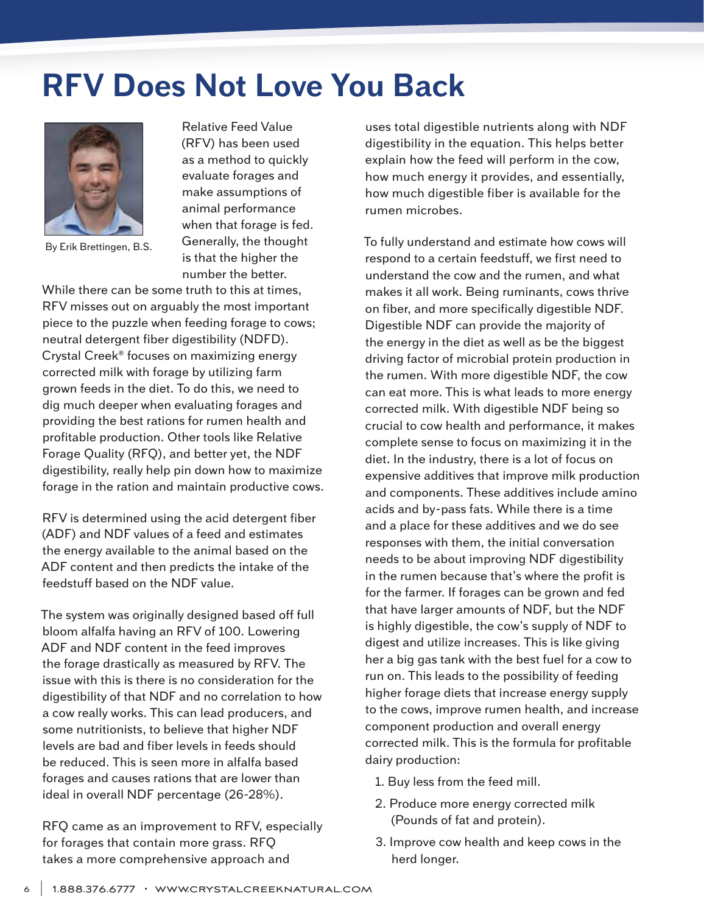## **RFV Does Not Love You Back**



By Erik Brettingen, B.S.

Relative Feed Value (RFV) has been used as a method to quickly evaluate forages and make assumptions of animal performance when that forage is fed. Generally, the thought is that the higher the number the better.

While there can be some truth to this at times, RFV misses out on arguably the most important piece to the puzzle when feeding forage to cows; neutral detergent fiber digestibility (NDFD). Crystal Creek® focuses on maximizing energy corrected milk with forage by utilizing farm grown feeds in the diet. To do this, we need to dig much deeper when evaluating forages and providing the best rations for rumen health and profitable production. Other tools like Relative Forage Quality (RFQ), and better yet, the NDF digestibility, really help pin down how to maximize forage in the ration and maintain productive cows.

RFV is determined using the acid detergent fiber (ADF) and NDF values of a feed and estimates the energy available to the animal based on the ADF content and then predicts the intake of the feedstuff based on the NDF value.

The system was originally designed based off full bloom alfalfa having an RFV of 100. Lowering ADF and NDF content in the feed improves the forage drastically as measured by RFV. The issue with this is there is no consideration for the digestibility of that NDF and no correlation to how a cow really works. This can lead producers, and some nutritionists, to believe that higher NDF levels are bad and fiber levels in feeds should be reduced. This is seen more in alfalfa based forages and causes rations that are lower than ideal in overall NDF percentage (26-28%).

RFQ came as an improvement to RFV, especially for forages that contain more grass. RFQ takes a more comprehensive approach and

uses total digestible nutrients along with NDF digestibility in the equation. This helps better explain how the feed will perform in the cow, how much energy it provides, and essentially, how much digestible fiber is available for the rumen microbes.

To fully understand and estimate how cows will respond to a certain feedstuff, we first need to understand the cow and the rumen, and what makes it all work. Being ruminants, cows thrive on fiber, and more specifically digestible NDF. Digestible NDF can provide the majority of the energy in the diet as well as be the biggest driving factor of microbial protein production in the rumen. With more digestible NDF, the cow can eat more. This is what leads to more energy corrected milk. With digestible NDF being so crucial to cow health and performance, it makes complete sense to focus on maximizing it in the diet. In the industry, there is a lot of focus on expensive additives that improve milk production and components. These additives include amino acids and by-pass fats. While there is a time and a place for these additives and we do see responses with them, the initial conversation needs to be about improving NDF digestibility in the rumen because that's where the profit is for the farmer. If forages can be grown and fed that have larger amounts of NDF, but the NDF is highly digestible, the cow's supply of NDF to digest and utilize increases. This is like giving her a big gas tank with the best fuel for a cow to run on. This leads to the possibility of feeding higher forage diets that increase energy supply to the cows, improve rumen health, and increase component production and overall energy corrected milk. This is the formula for profitable dairy production:

- 1. Buy less from the feed mill.
- 2. Produce more energy corrected milk (Pounds of fat and protein).
- 3. Improve cow health and keep cows in the herd longer.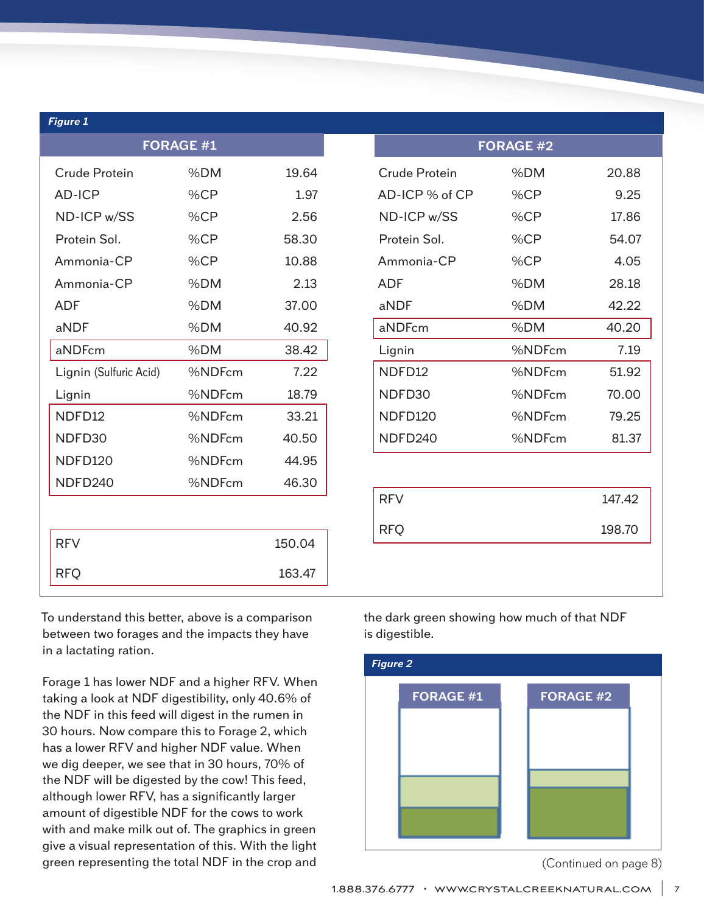| <b>Figure 1</b>        |        |        |                             |        |  |
|------------------------|--------|--------|-----------------------------|--------|--|
| <b>FORAGE #1</b>       |        |        | <b>FORAGE #2</b>            |        |  |
| Crude Protein          | %DM    | 19.64  | %DM<br><b>Crude Protein</b> | 20.88  |  |
| <b>AD-ICP</b>          | %CP    | 1.97   | %CP<br>AD-ICP % of CP       | 9.25   |  |
| ND-ICP w/SS            | %CP    | 2.56   | %CP<br>ND-ICP w/SS          | 17.86  |  |
| Protein Sol.           | %CP    | 58.30  | %CP<br>Protein Sol.         | 54.07  |  |
| Ammonia-CP             | %CP    | 10.88  | %CP<br>Ammonia-CP           | 4.05   |  |
| Ammonia-CP             | %DM    | 2.13   | <b>ADF</b><br>%DM           | 28.18  |  |
| <b>ADF</b>             | %DM    | 37.00  | aNDF<br>%DM                 | 42.22  |  |
| aNDF                   | %DM    | 40.92  | aNDFcm<br>%DM               | 40.20  |  |
| aNDFcm                 | %DM    | 38.42  | %NDFcm<br>Lignin            | 7.19   |  |
| Lignin (Sulfuric Acid) | %NDFcm | 7.22   | NDFD12<br>%NDFcm            | 51.92  |  |
| Lignin                 | %NDFcm | 18.79  | NDFD30<br>%NDFcm            | 70.00  |  |
| NDFD12                 | %NDFcm | 33.21  | NDFD120<br>%NDFcm           | 79.25  |  |
| NDFD30                 | %NDFcm | 40.50  | NDFD240<br>%NDFcm           | 81.37  |  |
| <b>NDFD120</b>         | %NDFcm | 44.95  |                             |        |  |
| NDFD240                | %NDFcm | 46.30  |                             |        |  |
|                        |        |        | <b>RFV</b>                  | 147.42 |  |
|                        |        |        | <b>RFQ</b>                  | 198.70 |  |
| <b>RFV</b>             |        | 150.04 |                             |        |  |
| <b>RFQ</b>             |        | 163.47 |                             |        |  |

To understand this better, above is a comparison between two forages and the impacts they have in a lactating ration.

Forage 1 has lower NDF and a higher RFV. When taking a look at NDF digestibility, only 40.6% of the NDF in this feed will digest in the rumen in 30 hours. Now compare this to Forage 2, which has a lower RFV and higher NDF value. When we dig deeper, we see that in 30 hours, 70% of the NDF will be digested by the cow! This feed, although lower RFV, has a significantly larger amount of digestible NDF for the cows to work with and make milk out of. The graphics in green give a visual representation of this. With the light green representing the total NDF in the crop and

the dark green showing how much of that NDF is digestible.



<sup>(</sup>Continued on page 8)